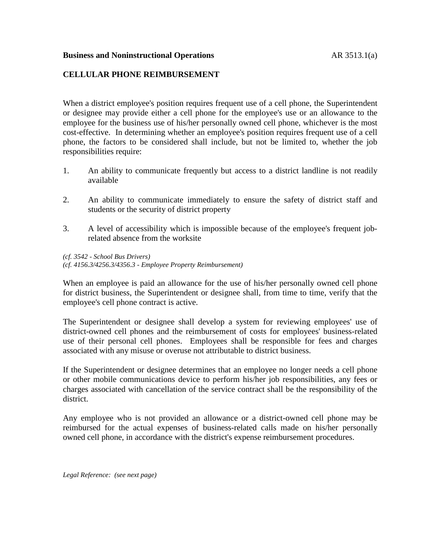## **Business and Noninstructional Operations** AR 3513.1(a)

## **CELLULAR PHONE REIMBURSEMENT**

When a district employee's position requires frequent use of a cell phone, the Superintendent or designee may provide either a cell phone for the employee's use or an allowance to the employee for the business use of his/her personally owned cell phone, whichever is the most cost-effective. In determining whether an employee's position requires frequent use of a cell phone, the factors to be considered shall include, but not be limited to, whether the job responsibilities require:

- 1. An ability to communicate frequently but access to a district landline is not readily available
- 2. An ability to communicate immediately to ensure the safety of district staff and students or the security of district property
- 3. A level of accessibility which is impossible because of the employee's frequent jobrelated absence from the worksite

*(cf. 3542 - School Bus Drivers) (cf. 4156.3/4256.3/4356.3 - Employee Property Reimbursement)*

When an employee is paid an allowance for the use of his/her personally owned cell phone for district business, the Superintendent or designee shall, from time to time, verify that the employee's cell phone contract is active.

The Superintendent or designee shall develop a system for reviewing employees' use of district-owned cell phones and the reimbursement of costs for employees' business-related use of their personal cell phones. Employees shall be responsible for fees and charges associated with any misuse or overuse not attributable to district business.

If the Superintendent or designee determines that an employee no longer needs a cell phone or other mobile communications device to perform his/her job responsibilities, any fees or charges associated with cancellation of the service contract shall be the responsibility of the district.

Any employee who is not provided an allowance or a district-owned cell phone may be reimbursed for the actual expenses of business-related calls made on his/her personally owned cell phone, in accordance with the district's expense reimbursement procedures.

*Legal Reference: (see next page)*